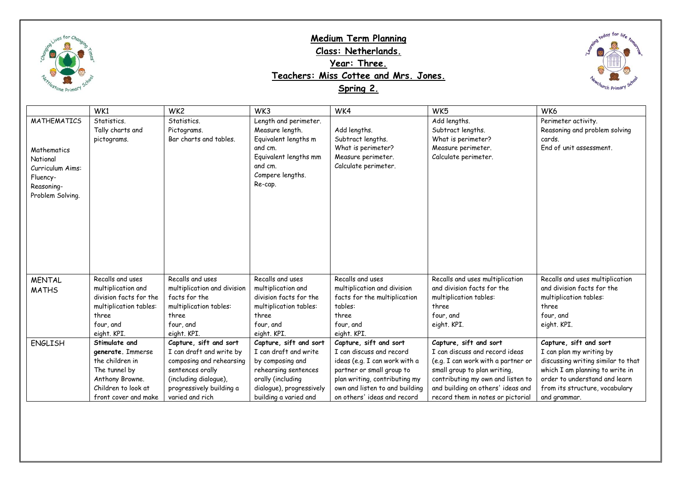

## **Medium Term Planning Class: Netherlands. Year: Three. Teachers: Miss Cottee and Mrs. Jones. Spring 2.**



|                                                                                                                 | WK1                                                                                                                                      | WK <sub>2</sub>                                                                                                                                                            | WK3                                                                                                                                                                   | WK4                                                                                                                                                                                                                | WK <sub>5</sub>                                                                                                                                                                                                                               | WK6                                                                                                                                                                                                            |
|-----------------------------------------------------------------------------------------------------------------|------------------------------------------------------------------------------------------------------------------------------------------|----------------------------------------------------------------------------------------------------------------------------------------------------------------------------|-----------------------------------------------------------------------------------------------------------------------------------------------------------------------|--------------------------------------------------------------------------------------------------------------------------------------------------------------------------------------------------------------------|-----------------------------------------------------------------------------------------------------------------------------------------------------------------------------------------------------------------------------------------------|----------------------------------------------------------------------------------------------------------------------------------------------------------------------------------------------------------------|
| <b>MATHEMATICS</b><br>Mathematics<br>National<br>Curriculum Aims:<br>Fluency-<br>Reasoning-<br>Problem Solving. | Statistics.<br>Tally charts and<br>pictograms.                                                                                           | Statistics.<br>Pictograms.<br>Bar charts and tables.                                                                                                                       | Length and perimeter.<br>Measure length.<br>Equivalent lengths m<br>and cm.<br>Equivalent lengths mm<br>and cm.<br>Compere lengths.<br>Re-cap.                        | Add lengths.<br>Subtract lengths.<br>What is perimeter?<br>Measure perimeter.<br>Calculate perimeter.                                                                                                              | Add lengths.<br>Subtract lengths.<br>What is perimeter?<br>Measure perimeter.<br>Calculate perimeter.                                                                                                                                         | Perimeter activity.<br>Reasoning and problem solving<br>cards.<br>End of unit assessment.                                                                                                                      |
| <b>MENTAL</b>                                                                                                   | Recalls and uses                                                                                                                         | Recalls and uses                                                                                                                                                           | Recalls and uses                                                                                                                                                      | Recalls and uses                                                                                                                                                                                                   | Recalls and uses multiplication                                                                                                                                                                                                               | Recalls and uses multiplication                                                                                                                                                                                |
| <b>MATHS</b>                                                                                                    | multiplication and<br>division facts for the<br>multiplication tables:<br>three<br>four, and<br>eight. KPI.                              | multiplication and division<br>facts for the<br>multiplication tables:<br>three<br>four, and<br>eight. KPI.                                                                | multiplication and<br>division facts for the<br>multiplication tables:<br>three<br>four, and<br>eight. KPI.                                                           | multiplication and division<br>facts for the multiplication<br>tables:<br>three<br>four, and<br>eight. KPI.                                                                                                        | and division facts for the<br>multiplication tables:<br>three<br>four, and<br>eight. KPI.                                                                                                                                                     | and division facts for the<br>multiplication tables:<br>three<br>four, and<br>eight. KPI.                                                                                                                      |
| <b>ENGLISH</b>                                                                                                  | Stimulate and<br>generate. Immerse<br>the children in<br>The tunnel by<br>Anthony Browne.<br>Children to look at<br>front cover and make | Capture, sift and sort<br>I can draft and write by<br>composing and rehearsing<br>sentences orally<br>(including dialogue),<br>progressively building a<br>varied and rich | Capture, sift and sort<br>I can draft and write<br>by composing and<br>rehearsing sentences<br>orally (including<br>dialogue), progressively<br>building a varied and | Capture, sift and sort<br>I can discuss and record<br>ideas (e.g. I can work with a<br>partner or small group to<br>plan writing, contributing my<br>own and listen to and building<br>on others' ideas and record | Capture, sift and sort<br>I can discuss and record ideas<br>(e.g. I can work with a partner or<br>small group to plan writing,<br>contributing my own and listen to<br>and building on others' ideas and<br>record them in notes or pictorial | Capture, sift and sort<br>I can plan my writing by<br>discussing writing similar to that<br>which I am planning to write in<br>order to understand and learn<br>from its structure, vocabulary<br>and grammar. |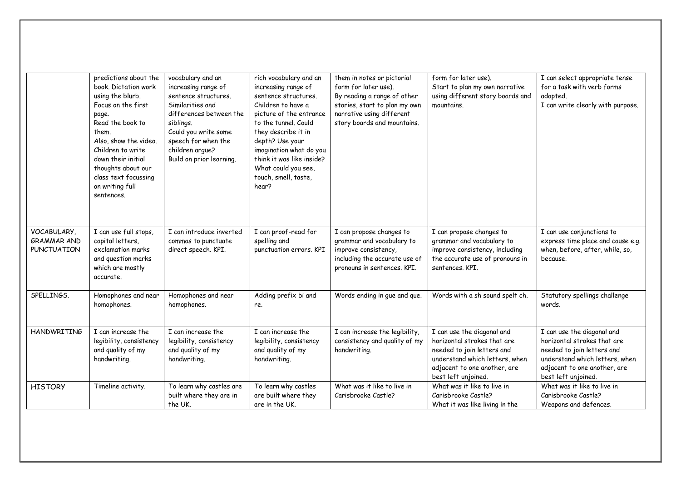|                                                  | predictions about the<br>book. Dictation work<br>using the blurb.<br>Focus on the first<br>page.<br>Read the book to<br>them.<br>Also, show the video.<br>Children to write<br>down their initial<br>thoughts about our<br>class text focussing<br>on writing full<br>sentences. | vocabulary and an<br>increasing range of<br>sentence structures.<br>Similarities and<br>differences between the<br>siblings.<br>Could you write some<br>speech for when the<br>children arque?<br>Build on prior learning. | rich vocabulary and an<br>increasing range of<br>sentence structures.<br>Children to have a<br>picture of the entrance<br>to the tunnel. Could<br>they describe it in<br>depth? Use your<br>imagination what do you<br>think it was like inside?<br>What could you see,<br>touch, smell, taste,<br>hear? | them in notes or pictorial<br>form for later use).<br>By reading a range of other<br>stories, start to plan my own<br>narrative using different<br>story boards and mountains. | form for later use).<br>Start to plan my own narrative<br>using different story boards and<br>mountains.                                                                         | I can select appropriate tense<br>for a task with verb forms<br>adapted.<br>I can write clearly with purpose.                                                                    |
|--------------------------------------------------|----------------------------------------------------------------------------------------------------------------------------------------------------------------------------------------------------------------------------------------------------------------------------------|----------------------------------------------------------------------------------------------------------------------------------------------------------------------------------------------------------------------------|----------------------------------------------------------------------------------------------------------------------------------------------------------------------------------------------------------------------------------------------------------------------------------------------------------|--------------------------------------------------------------------------------------------------------------------------------------------------------------------------------|----------------------------------------------------------------------------------------------------------------------------------------------------------------------------------|----------------------------------------------------------------------------------------------------------------------------------------------------------------------------------|
| VOCABULARY,<br>GRAMMAR AND<br><b>PUNCTUATION</b> | I can use full stops,<br>capital letters,<br>exclamation marks<br>and question marks<br>which are mostly<br>accurate.                                                                                                                                                            | I can introduce inverted<br>commas to punctuate<br>direct speech. KPI.                                                                                                                                                     | I can proof-read for<br>spelling and<br>punctuation errors, KPI                                                                                                                                                                                                                                          | I can propose changes to<br>grammar and vocabulary to<br>improve consistency,<br>including the accurate use of<br>pronouns in sentences. KPI.                                  | I can propose changes to<br>grammar and vocabulary to<br>improve consistency, including<br>the accurate use of pronouns in<br>sentences. KPI.                                    | I can use conjunctions to<br>express time place and cause e.g.<br>when, before, after, while, so,<br>because.                                                                    |
| SPELLINGS.                                       | Homophones and near<br>homophones.                                                                                                                                                                                                                                               | Homophones and near<br>homophones.                                                                                                                                                                                         | Adding prefix bi and<br>re.                                                                                                                                                                                                                                                                              | Words ending in gue and que.                                                                                                                                                   | Words with a sh sound spelt ch.                                                                                                                                                  | Statutory spellings challenge<br>words.                                                                                                                                          |
| <b>HANDWRITING</b>                               | I can increase the<br>legibility, consistency<br>and quality of my<br>handwriting.                                                                                                                                                                                               | I can increase the<br>legibility, consistency<br>and quality of my<br>handwriting.                                                                                                                                         | I can increase the<br>legibility, consistency<br>and quality of my<br>handwriting.                                                                                                                                                                                                                       | I can increase the legibility,<br>consistency and quality of my<br>handwriting.                                                                                                | I can use the diagonal and<br>horizontal strokes that are<br>needed to join letters and<br>understand which letters, when<br>adjacent to one another, are<br>best left unjoined. | I can use the diagonal and<br>horizontal strokes that are<br>needed to join letters and<br>understand which letters, when<br>adjacent to one another, are<br>best left unjoined. |
| <b>HISTORY</b>                                   | Timeline activity.                                                                                                                                                                                                                                                               | To learn why castles are<br>built where they are in<br>the UK.                                                                                                                                                             | To learn why castles<br>are built where they<br>are in the UK.                                                                                                                                                                                                                                           | What was it like to live in<br>Carisbrooke Castle?                                                                                                                             | What was it like to live in<br>Carisbrooke Castle?<br>What it was like living in the                                                                                             | What was it like to live in<br>Carisbrooke Castle?<br>Weapons and defences.                                                                                                      |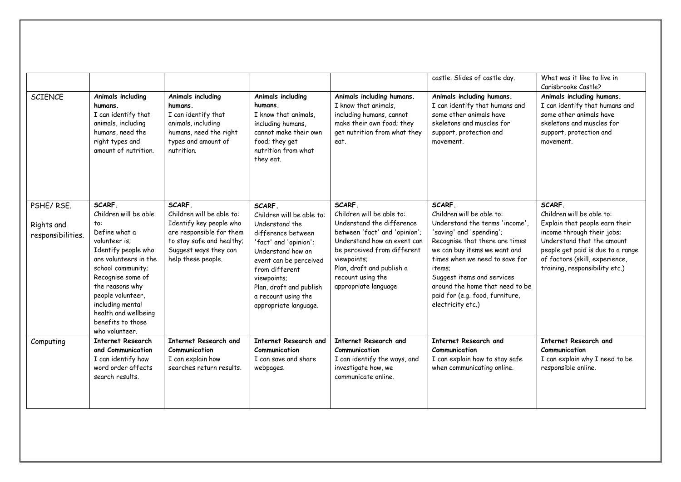|                                              |                                                                                                                                                                                                                                                                                               |                                                                                                                                                                        |                                                                                                                                                                                                                                                                 |                                                                                                                                                                                                                                                          | castle. Slides of castle day.                                                                                                                                                                                                                                                                                                            | What was it like to live in<br>Carisbrooke Castle?                                                                                                                                                                                         |
|----------------------------------------------|-----------------------------------------------------------------------------------------------------------------------------------------------------------------------------------------------------------------------------------------------------------------------------------------------|------------------------------------------------------------------------------------------------------------------------------------------------------------------------|-----------------------------------------------------------------------------------------------------------------------------------------------------------------------------------------------------------------------------------------------------------------|----------------------------------------------------------------------------------------------------------------------------------------------------------------------------------------------------------------------------------------------------------|------------------------------------------------------------------------------------------------------------------------------------------------------------------------------------------------------------------------------------------------------------------------------------------------------------------------------------------|--------------------------------------------------------------------------------------------------------------------------------------------------------------------------------------------------------------------------------------------|
| <b>SCIENCE</b>                               | Animals including<br>humans.<br>I can identify that<br>animals, including<br>humans, need the<br>right types and<br>amount of nutrition.                                                                                                                                                      | Animals including<br>humans.<br>I can identify that<br>animals, including<br>humans, need the right<br>types and amount of<br>nutrition.                               | Animals including<br>humans.<br>I know that animals,<br>including humans.<br>cannot make their own<br>food; they get<br>nutrition from what<br>they eat.                                                                                                        | Animals including humans.<br>I know that animals,<br>including humans, cannot<br>make their own food; they<br>get nutrition from what they<br>eat.                                                                                                       | Animals including humans.<br>I can identify that humans and<br>some other animals have<br>skeletons and muscles for<br>support, protection and<br>movement.                                                                                                                                                                              | Animals including humans.<br>I can identify that humans and<br>some other animals have<br>skeletons and muscles for<br>support, protection and<br>movement.                                                                                |
| PSHE/RSE.<br>Rights and<br>responsibilities. | SCARF.<br>Children will be able<br>to:<br>Define what a<br>volunteer is:<br>Identify people who<br>are volunteers in the<br>school community;<br>Recognise some of<br>the reasons why<br>people volunteer,<br>including mental<br>health and wellbeing<br>benefits to those<br>who volunteer. | SCARF.<br>Children will be able to:<br>Identify key people who<br>are responsible for them<br>to stay safe and healthy;<br>Suggest ways they can<br>help these people. | SCARF.<br>Children will be able to:<br>Understand the<br>difference between<br>'fact' and 'opinion';<br>Understand how an<br>event can be perceived<br>from different<br>viewpoints;<br>Plan, draft and publish<br>a recount using the<br>appropriate language. | SCARF.<br>Children will be able to:<br>Understand the difference<br>between 'fact' and 'opinion';<br>Understand how an event can<br>be perceived from different<br>viewpoints;<br>Plan, draft and publish a<br>recount using the<br>appropriate language | SCARF.<br>Children will be able to:<br>Understand the terms 'income'.<br>'saving' and 'spending';<br>Recognise that there are times<br>we can buy items we want and<br>times when we need to save for<br>items:<br>Suggest items and services<br>around the home that need to be<br>paid for (e.g. food, furniture,<br>electricity etc.) | SCARF.<br>Children will be oble to:<br>Explain that people earn their<br>income through their jobs;<br>Understand that the amount<br>people get paid is due to a range<br>of factors (skill, experience,<br>training, responsibility etc.) |
| Computing                                    | <b>Internet Research</b><br>and Communication<br>I can identify how<br>word order affects<br>search results.                                                                                                                                                                                  | Internet Research and<br>Communication<br>I can explain how<br>searches return results.                                                                                | Internet Research and<br><b>Communication</b><br>I can save and share<br>webpages.                                                                                                                                                                              | Internet Research and<br>Communication<br>I can identify the ways, and<br>investigate how, we<br>communicate online.                                                                                                                                     | Internet Research and<br>Communication<br>I can explain how to stay safe<br>when communicating online.                                                                                                                                                                                                                                   | Internet Research and<br>Communication<br>I can explain why I need to be<br>responsible online.                                                                                                                                            |